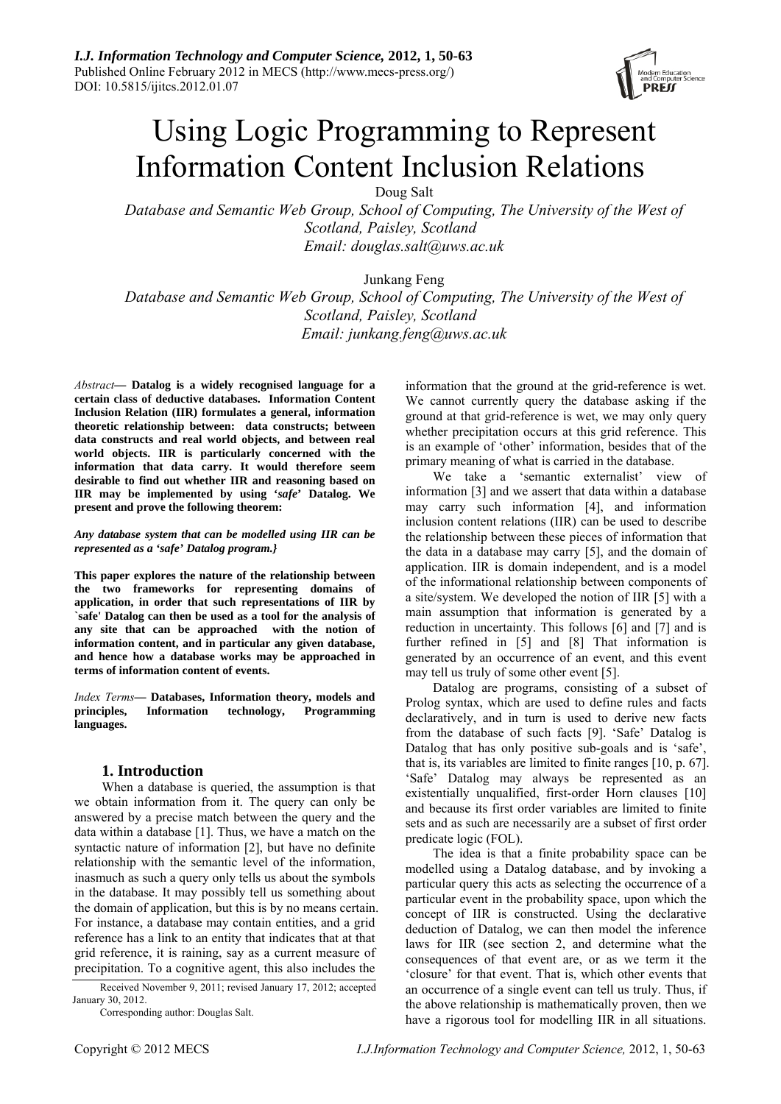

# Using Logic Programming to Represent Information Content Inclusion Relations

Doug Salt

*Database and Semantic Web Group, School of Computing, The University of the West of Scotland, Paisley, Scotland Email: douglas.salt@uws.ac.uk* 

Junkang Feng

*Database and Semantic Web Group, School of Computing, The University of the West of Scotland, Paisley, Scotland Email: junkang.feng@uws.ac.uk* 

*Abstract***— Datalog is a widely recognised language for a certain class of deductive databases. Information Content Inclusion Relation (IIR) formulates a general, information theoretic relationship between: data constructs; between data constructs and real world objects, and between real world objects. IIR is particularly concerned with the information that data carry. It would therefore seem desirable to find out whether IIR and reasoning based on IIR may be implemented by using '***safe***' Datalog. We present and prove the following theorem:** 

#### *Any database system that can be modelled using IIR can be represented as a 'safe' Datalog program.}*

**This paper explores the nature of the relationship between the two frameworks for representing domains of application, in order that such representations of IIR by `safe' Datalog can then be used as a tool for the analysis of any site that can be approached with the notion of information content, and in particular any given database, and hence how a database works may be approached in terms of information content of events.** 

*Index Terms***— Databases, Information theory, models and principles, Information technology, Programming languages.** 

# **1. Introduction**

When a database is queried, the assumption is that we obtain information from it. The query can only be answered by a precise match between the query and the data within a database [1]. Thus, we have a match on the syntactic nature of information [2], but have no definite relationship with the semantic level of the information, inasmuch as such a query only tells us about the symbols in the database. It may possibly tell us something about the domain of application, but this is by no means certain. For instance, a database may contain entities, and a grid reference has a link to an entity that indicates that at that grid reference, it is raining, say as a current measure of precipitation. To a cognitive agent, this also includes the

Received November 9, 2011; revised January 17, 2012; accepted January 30, 2012.

Corresponding author: Douglas Salt.

information that the ground at the grid-reference is wet. We cannot currently query the database asking if the ground at that grid-reference is wet, we may only query whether precipitation occurs at this grid reference. This is an example of 'other' information, besides that of the primary meaning of what is carried in the database.

We take a 'semantic externalist' view of information [3] and we assert that data within a database may carry such information [4], and information inclusion content relations (IIR) can be used to describe the relationship between these pieces of information that the data in a database may carry [5], and the domain of application. IIR is domain independent, and is a model of the informational relationship between components of a site/system. We developed the notion of IIR [5] with a main assumption that information is generated by a reduction in uncertainty. This follows [6] and [7] and is further refined in [5] and [8] That information is generated by an occurrence of an event, and this event may tell us truly of some other event [5].

Datalog are programs, consisting of a subset of Prolog syntax, which are used to define rules and facts declaratively, and in turn is used to derive new facts from the database of such facts [9]. 'Safe' Datalog is Datalog that has only positive sub-goals and is 'safe', that is, its variables are limited to finite ranges [10, p. 67]. 'Safe' Datalog may always be represented as an existentially unqualified, first-order Horn clauses [10] and because its first order variables are limited to finite sets and as such are necessarily are a subset of first order predicate logic (FOL).

The idea is that a finite probability space can be modelled using a Datalog database, and by invoking a particular query this acts as selecting the occurrence of a particular event in the probability space, upon which the concept of IIR is constructed. Using the declarative deduction of Datalog, we can then model the inference laws for IIR (see section 2, and determine what the consequences of that event are, or as we term it the 'closure' for that event. That is, which other events that an occurrence of a single event can tell us truly. Thus, if the above relationship is mathematically proven, then we have a rigorous tool for modelling IIR in all situations.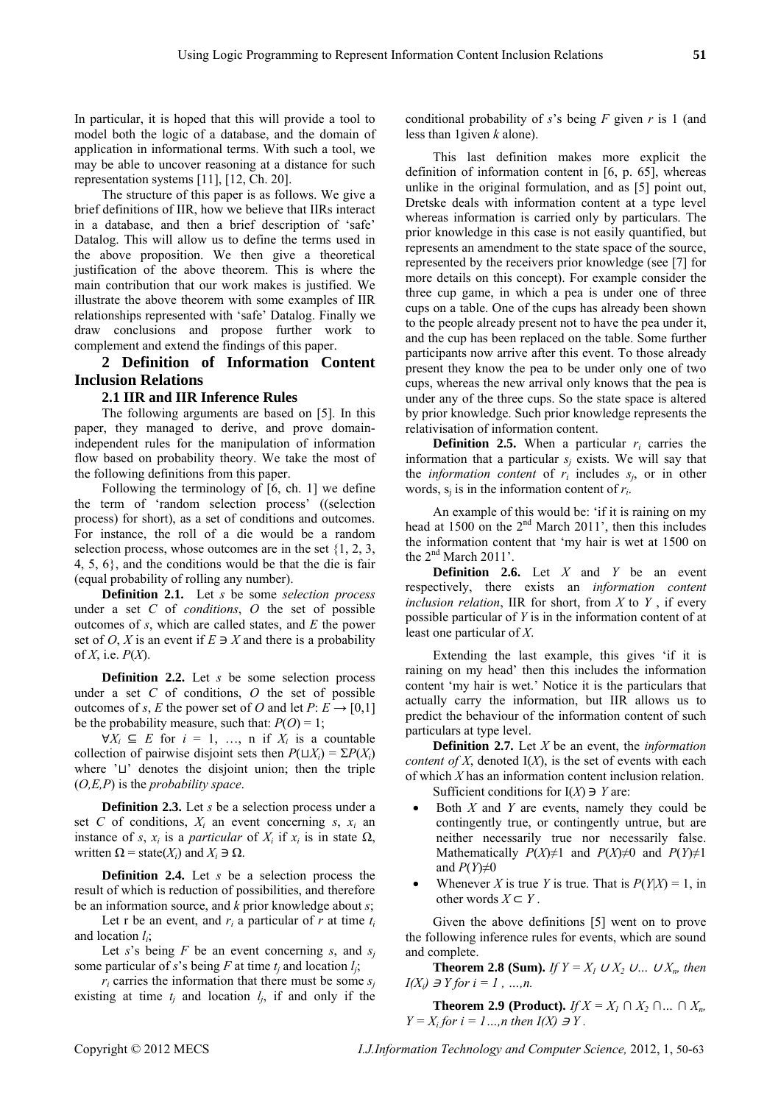In particular, it is hoped that this will provide a tool to model both the logic of a database, and the domain of application in informational terms. With such a tool, we may be able to uncover reasoning at a distance for such representation systems [11], [12, Ch. 20].

The structure of this paper is as follows. We give a brief definitions of IIR, how we believe that IIRs interact in a database, and then a brief description of 'safe' Datalog. This will allow us to define the terms used in the above proposition. We then give a theoretical justification of the above theorem. This is where the main contribution that our work makes is justified. We illustrate the above theorem with some examples of IIR relationships represented with 'safe' Datalog. Finally we draw conclusions and propose further work to complement and extend the findings of this paper.

# **2 Definition of Information Content Inclusion Relations**

## **2.1 IIR and IIR Inference Rules**

The following arguments are based on [5]. In this paper, they managed to derive, and prove domainindependent rules for the manipulation of information flow based on probability theory. We take the most of the following definitions from this paper.

Following the terminology of [6, ch. 1] we define the term of 'random selection process' ((selection process) for short), as a set of conditions and outcomes. For instance, the roll of a die would be a random selection process, whose outcomes are in the set {1, 2, 3, 4, 5, 6}, and the conditions would be that the die is fair (equal probability of rolling any number).

**Definition 2.1.** Let *s* be some *selection process* under a set *C* of *conditions*, *O* the set of possible outcomes of *s*, which are called states, and *E* the power set of *O*, *X* is an event if  $E \ni X$  and there is a probability of *X*, i.e. *P*(*X*).

**Definition 2.2.** Let *s* be some selection process under a set *C* of conditions, *O* the set of possible outcomes of *s*, *E* the power set of *O* and let  $P: E \rightarrow [0,1]$ be the probability measure, such that:  $P(O) = 1$ ;

 $\forall X_i \subseteq E$  for  $i = 1, \dots, n$  if  $X_i$  is a countable collection of pairwise disjoint sets then  $P(\sqcup X_i) = \sum P(X_i)$ where  $' \sqcup'$  denotes the disjoint union; then the triple (*O,E,P*) is the *probability space*.

**Definition 2.3.** Let *s* be a selection process under a set *C* of conditions,  $X_i$  an event concerning *s*,  $x_i$  an instance of *s*,  $x_i$  is a *particular* of  $X_i$  if  $x_i$  is in state  $\Omega$ , written  $\Omega$  = state( $X_i$ ) and  $X_i \ni \Omega$ .

**Definition 2.4.** Let *s* be a selection process the result of which is reduction of possibilities, and therefore be an information source, and *k* prior knowledge about *s*;

Let r be an event, and  $r_i$  a particular of  $r$  at time  $t_i$ and location *li*;

Let *s*'s being *F* be an event concerning *s*, and  $s_i$ some particular of *s*'s being *F* at time  $t_i$  and location  $l_i$ ;

 $r_i$  carries the information that there must be some  $s_i$ existing at time  $t_i$  and location  $l_i$ , if and only if the conditional probability of *s*'s being *F* given *r* is 1 (and less than 1given *k* alone).

This last definition makes more explicit the definition of information content in [6, p. 65], whereas unlike in the original formulation, and as [5] point out, Dretske deals with information content at a type level whereas information is carried only by particulars. The prior knowledge in this case is not easily quantified, but represents an amendment to the state space of the source, represented by the receivers prior knowledge (see [7] for more details on this concept). For example consider the three cup game, in which a pea is under one of three cups on a table. One of the cups has already been shown to the people already present not to have the pea under it, and the cup has been replaced on the table. Some further participants now arrive after this event. To those already present they know the pea to be under only one of two cups, whereas the new arrival only knows that the pea is under any of the three cups. So the state space is altered by prior knowledge. Such prior knowledge represents the relativisation of information content.

**Definition 2.5.** When a particular  $r_i$  carries the information that a particular  $s_i$  exists. We will say that the *information content* of  $r_i$  includes  $s_i$ , or in other words,  $s_i$  is in the information content of  $r_i$ .

An example of this would be: 'if it is raining on my head at 1500 on the  $2<sup>nd</sup>$  March 2011', then this includes the information content that 'my hair is wet at 1500 on the  $2<sup>nd</sup>$  March  $2011'$ .

**Definition 2.6.** Let *X* and *Y* be an event respectively, there exists an *information content inclusion relation*, IIR for short, from *X* to *Y* , if every possible particular of *Y* is in the information content of at least one particular of *X*.

Extending the last example, this gives 'if it is raining on my head' then this includes the information content 'my hair is wet.' Notice it is the particulars that actually carry the information, but IIR allows us to predict the behaviour of the information content of such particulars at type level.

**Definition 2.7.** Let *X* be an event, the *information content of X*, denoted  $I(X)$ , is the set of events with each of which  $X$  has an information content inclusion relation. Sufficient conditions for  $I(X) \ni Y$  are:

- Both *X* and *Y* are events, namely they could be contingently true, or contingently untrue, but are neither necessarily true nor necessarily false. Mathematically *P*(*X*)≠1 and *P*(*X*)≠0 and *P*(*Y*)≠1 and  $P(Y) \neq 0$
- Whenever *X* is true *Y* is true. That is  $P(Y|X) = 1$ , in other words  $X \subseteq Y$ .

Given the above definitions [5] went on to prove the following inference rules for events, which are sound and complete.

**Theorem 2.8 (Sum).** *If*  $Y = X_1 \cup X_2 \cup ... \cup X_n$ , then  $I(X_i) \ni Y$  for  $i = 1, ..., n$ .

**Theorem 2.9 (Product).** *If*  $X = X_1 ∩ X_2 ∩ ... ∩ X_n$ *Y* =  $X_i$  *for*  $i = 1...$ , *n then*  $I(X) \ni Y$ .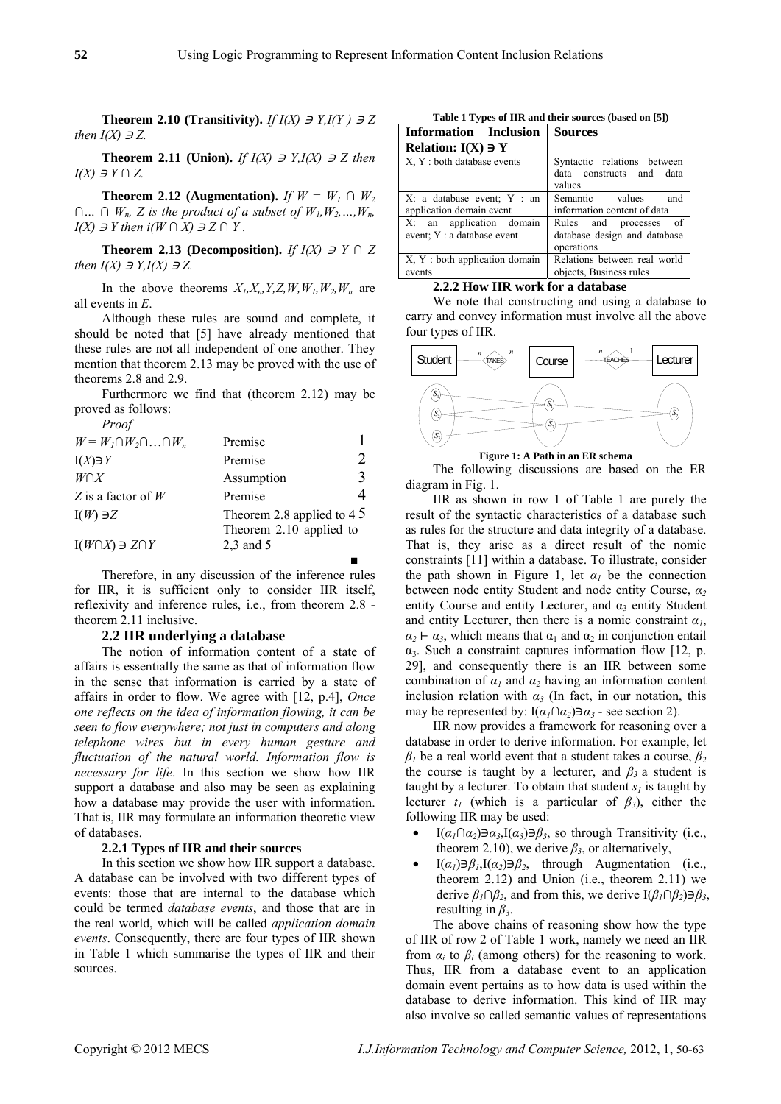**Theorem 2.10 (Transitivity).** *If*  $I(X) \ni Y, I(Y) \ni Z$ *then*  $I(X) \ni Z$ .

**Theorem 2.11 (Union).** *If*  $I(X) \ni Y, I(X) \ni Z$  then *I(X)*  $\exists$  *Y* ∩ *Z*.

**Theorem 2.12 (Augmentation).** *If*  $W = W_1 \cap W_2$  $∩... ∩ W_n$ , *Z* is the product of a subset of  $W_1, W_2, ..., W_n$ *I(X)*  $\exists$  *Y* then  $i(W \cap X) \exists Z \cap Y$ .

**Theorem 2.13 (Decomposition).** *If*  $I(X) \ni Y \cap Z$ *then*  $I(X) \ni Y, I(X) \ni Z$ .

In the above theorems  $X_l, X_n, Y, Z, W, W_l, W_2, W_n$  are all events in *E*.

Although these rules are sound and complete, it should be noted that [5] have already mentioned that these rules are not all independent of one another. They mention that theorem 2.13 may be proved with the use of theorems 2.8 and 2.9.

Furthermore we find that (theorem 2.12) may be proved as follows:

| Proof                                   |                                                                   |   |
|-----------------------------------------|-------------------------------------------------------------------|---|
| $W = W_1 \cap W_2 \cap \ldots \cap W_n$ | Premise                                                           |   |
| $I(X)\ni Y$                             | Premise                                                           |   |
| $W \cap X$                              | Assumption                                                        | 3 |
| Z is a factor of W                      | Premise                                                           |   |
| $I(W) \ni Z$                            | Theorem 2.8 applied to $4\overline{5}$<br>Theorem 2.10 applied to |   |
| $I(W \cap X) \ni Z \cap Y$              | $2,3$ and 5                                                       |   |
|                                         |                                                                   |   |

Therefore, in any discussion of the inference rules for IIR, it is sufficient only to consider IIR itself, reflexivity and inference rules, i.e., from theorem 2.8 theorem 2.11 inclusive.

## **2.2 IIR underlying a database**

The notion of information content of a state of affairs is essentially the same as that of information flow in the sense that information is carried by a state of affairs in order to flow. We agree with [12, p.4], *Once one reflects on the idea of information flowing, it can be seen to flow everywhere; not just in computers and along telephone wires but in every human gesture and fluctuation of the natural world. Information flow is necessary for life*. In this section we show how IIR support a database and also may be seen as explaining how a database may provide the user with information. That is, IIR may formulate an information theoretic view of databases.

#### **2.2.1 Types of IIR and their sources**

In this section we show how IIR support a database. A database can be involved with two different types of events: those that are internal to the database which could be termed *database events*, and those that are in the real world, which will be called *application domain events*. Consequently, there are four types of IIR shown in Table 1 which summarise the types of IIR and their sources.

**Table 1 Types of IIR and their sources (based on [5])** 

| <b>Information</b> Inclusion                            | <b>Sources</b>                                                            |  |
|---------------------------------------------------------|---------------------------------------------------------------------------|--|
| Relation: $I(X) \ni Y$                                  |                                                                           |  |
| X, Y : both database events                             | Syntactic relations between<br>data constructs and<br>data<br>values      |  |
| X: a database event; Y : an<br>application domain event | Semantic values and<br>information content of data                        |  |
| X: an application domain<br>event; Y : a database event | Rules and processes<br>- of<br>database design and database<br>operations |  |
| X, Y: both application domain<br>events                 | Relations between real world<br>objects, Business rules                   |  |

#### **2.2.2 How IIR work for a database**

We note that constructing and using a database to carry and convey information must involve all the above four types of IIR.



**Figure 1: A Path in an ER schema** 

The following discussions are based on the ER diagram in Fig. 1.

IIR as shown in row 1 of Table 1 are purely the result of the syntactic characteristics of a database such as rules for the structure and data integrity of a database. That is, they arise as a direct result of the nomic constraints [11] within a database. To illustrate, consider the path shown in Figure 1, let  $\alpha_l$  be the connection between node entity Student and node entity Course, *α<sup>2</sup>* entity Course and entity Lecturer, and  $\alpha_3$  entity Student and entity Lecturer, then there is a nomic constraint  $\alpha_l$ ,  $\alpha_2 \vdash \alpha_3$ , which means that  $\alpha_1$  and  $\alpha_2$  in conjunction entail  $\alpha_3$ . Such a constraint captures information flow [12, p. 29], and consequently there is an IIR between some combination of  $\alpha_1$  and  $\alpha_2$  having an information content inclusion relation with  $\alpha_3$  (In fact, in our notation, this may be represented by:  $I(\alpha_1 \cap \alpha_2) \ni \alpha_3$  - see section 2).

IIR now provides a framework for reasoning over a database in order to derive information. For example, let  $β<sub>1</sub>$  be a real world event that a student takes a course,  $β<sub>2</sub>$ the course is taught by a lecturer, and  $\beta_3$  a student is taught by a lecturer. To obtain that student  $s_i$  is taught by lecturer  $t_1$  (which is a particular of  $\beta_3$ ), either the following IIR may be used:

- I( $\alpha_1 \cap \alpha_2$ ) $\exists \alpha_3$ ,I( $\alpha_3$ ) $\exists \beta_3$ , so through Transitivity (i.e., theorem 2.10), we derive  $\beta_3$ , or alternatively,
- $I(\alpha_i) \ni \beta_i, I(\alpha_i) \ni \beta_i$ , through Augmentation (i.e., theorem  $2.12$ ) and Union (i.e., theorem  $2.11$ ) we derive  $\beta_1 \cap \beta_2$ , and from this, we derive  $I(\beta_1 \cap \beta_2) \ni \beta_3$ , resulting in *β3*.

The above chains of reasoning show how the type of IIR of row 2 of Table 1 work, namely we need an IIR from  $\alpha_i$  to  $\beta_i$  (among others) for the reasoning to work. Thus, IIR from a database event to an application domain event pertains as to how data is used within the database to derive information. This kind of IIR may also involve so called semantic values of representations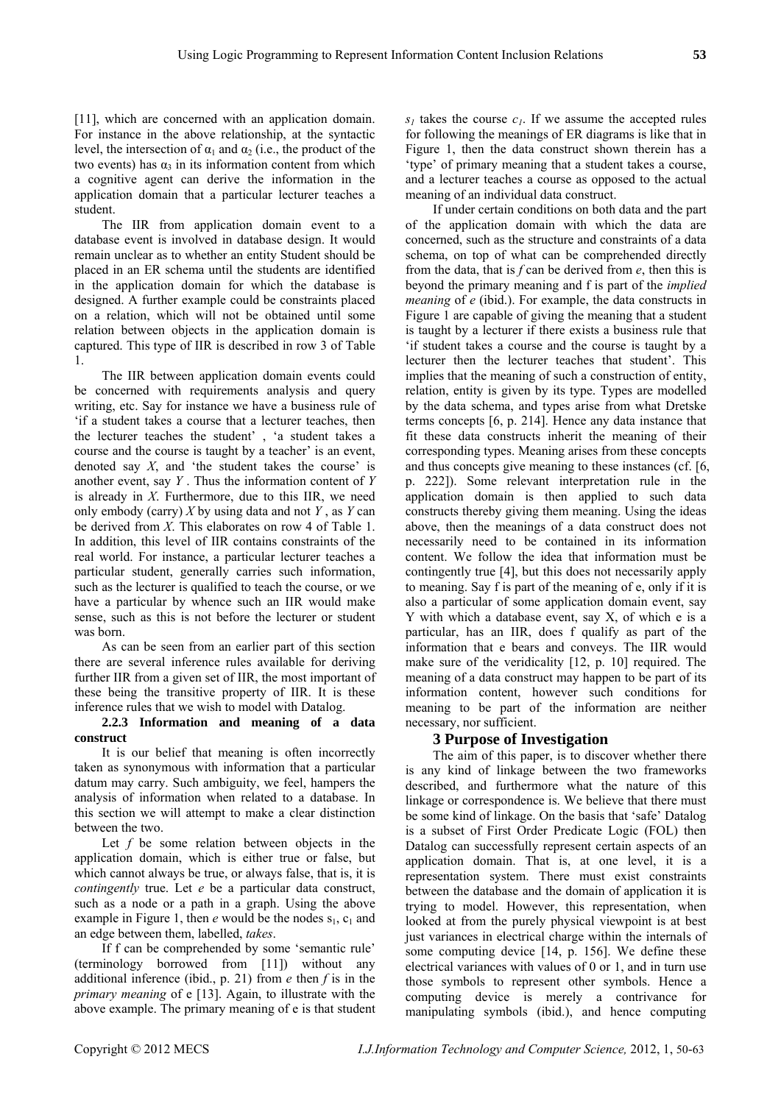[11], which are concerned with an application domain. For instance in the above relationship, at the syntactic level, the intersection of  $\alpha_1$  and  $\alpha_2$  (i.e., the product of the two events) has  $\alpha_3$  in its information content from which a cognitive agent can derive the information in the application domain that a particular lecturer teaches a student.

The IIR from application domain event to a database event is involved in database design. It would remain unclear as to whether an entity Student should be placed in an ER schema until the students are identified in the application domain for which the database is designed. A further example could be constraints placed on a relation, which will not be obtained until some relation between objects in the application domain is captured. This type of IIR is described in row 3 of Table 1.

The IIR between application domain events could be concerned with requirements analysis and query writing, etc. Say for instance we have a business rule of 'if a student takes a course that a lecturer teaches, then the lecturer teaches the student' , 'a student takes a course and the course is taught by a teacher' is an event, denoted say *X*, and 'the student takes the course' is another event, say *Y* . Thus the information content of *Y* is already in *X*. Furthermore, due to this IIR, we need only embody (carry) *X* by using data and not *Y* , as *Y* can be derived from *X*. This elaborates on row 4 of Table 1. In addition, this level of IIR contains constraints of the real world. For instance, a particular lecturer teaches a particular student, generally carries such information, such as the lecturer is qualified to teach the course, or we have a particular by whence such an IIR would make sense, such as this is not before the lecturer or student was born.

As can be seen from an earlier part of this section there are several inference rules available for deriving further IIR from a given set of IIR, the most important of these being the transitive property of IIR. It is these inference rules that we wish to model with Datalog.

# **2.2.3 Information and meaning of a data construct**

It is our belief that meaning is often incorrectly taken as synonymous with information that a particular datum may carry. Such ambiguity, we feel, hampers the analysis of information when related to a database. In this section we will attempt to make a clear distinction between the two.

Let *f* be some relation between objects in the application domain, which is either true or false, but which cannot always be true, or always false, that is, it is *contingently* true. Let *e* be a particular data construct, such as a node or a path in a graph. Using the above example in Figure 1, then  $e$  would be the nodes  $s_1, c_1$  and an edge between them, labelled, *takes*.

If f can be comprehended by some 'semantic rule' (terminology borrowed from [11]) without any additional inference (ibid., p. 21) from *e* then *f* is in the *primary meaning* of e [13]. Again, to illustrate with the above example. The primary meaning of e is that student  $s_l$  takes the course  $c_l$ . If we assume the accepted rules for following the meanings of ER diagrams is like that in Figure 1, then the data construct shown therein has a 'type' of primary meaning that a student takes a course, and a lecturer teaches a course as opposed to the actual meaning of an individual data construct.

If under certain conditions on both data and the part of the application domain with which the data are concerned, such as the structure and constraints of a data schema, on top of what can be comprehended directly from the data, that is *f* can be derived from *e*, then this is beyond the primary meaning and f is part of the *implied meaning* of *e* (ibid.). For example, the data constructs in Figure 1 are capable of giving the meaning that a student is taught by a lecturer if there exists a business rule that 'if student takes a course and the course is taught by a lecturer then the lecturer teaches that student'. This implies that the meaning of such a construction of entity, relation, entity is given by its type. Types are modelled by the data schema, and types arise from what Dretske terms concepts [6, p. 214]. Hence any data instance that fit these data constructs inherit the meaning of their corresponding types. Meaning arises from these concepts and thus concepts give meaning to these instances (cf. [6, p. 222]). Some relevant interpretation rule in the application domain is then applied to such data constructs thereby giving them meaning. Using the ideas above, then the meanings of a data construct does not necessarily need to be contained in its information content. We follow the idea that information must be contingently true [4], but this does not necessarily apply to meaning. Say f is part of the meaning of e, only if it is also a particular of some application domain event, say Y with which a database event, say X, of which e is a particular, has an IIR, does f qualify as part of the information that e bears and conveys. The IIR would make sure of the veridicality [12, p. 10] required. The meaning of a data construct may happen to be part of its information content, however such conditions for meaning to be part of the information are neither necessary, nor sufficient.

# **3 Purpose of Investigation**

The aim of this paper, is to discover whether there is any kind of linkage between the two frameworks described, and furthermore what the nature of this linkage or correspondence is. We believe that there must be some kind of linkage. On the basis that 'safe' Datalog is a subset of First Order Predicate Logic (FOL) then Datalog can successfully represent certain aspects of an application domain. That is, at one level, it is a representation system. There must exist constraints between the database and the domain of application it is trying to model. However, this representation, when looked at from the purely physical viewpoint is at best just variances in electrical charge within the internals of some computing device [14, p. 156]. We define these electrical variances with values of 0 or 1, and in turn use those symbols to represent other symbols. Hence a computing device is merely a contrivance for manipulating symbols (ibid.), and hence computing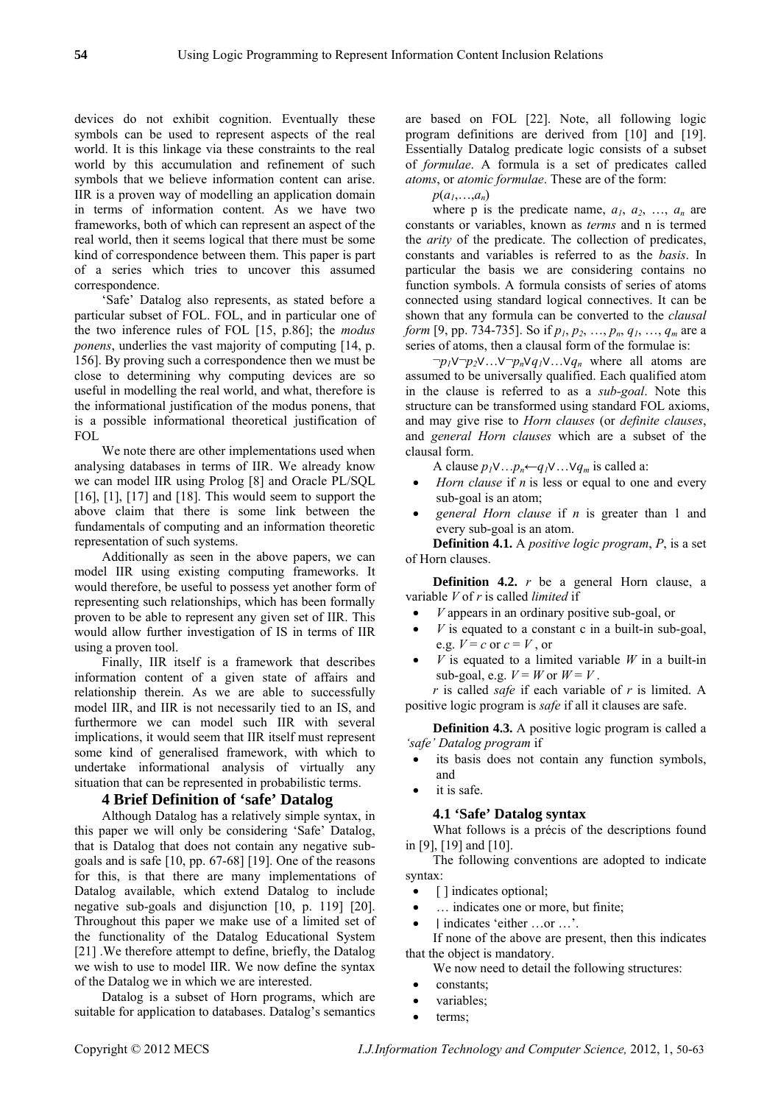devices do not exhibit cognition. Eventually these symbols can be used to represent aspects of the real world. It is this linkage via these constraints to the real world by this accumulation and refinement of such symbols that we believe information content can arise. IIR is a proven way of modelling an application domain in terms of information content. As we have two frameworks, both of which can represent an aspect of the real world, then it seems logical that there must be some kind of correspondence between them. This paper is part of a series which tries to uncover this assumed correspondence.

'Safe' Datalog also represents, as stated before a particular subset of FOL. FOL, and in particular one of the two inference rules of FOL [15, p.86]; the *modus ponens*, underlies the vast majority of computing [14, p. 156]. By proving such a correspondence then we must be close to determining why computing devices are so useful in modelling the real world, and what, therefore is the informational justification of the modus ponens, that is a possible informational theoretical justification of FOL

We note there are other implementations used when analysing databases in terms of IIR. We already know we can model IIR using Prolog [8] and Oracle PL/SQL  $[16]$ ,  $[1]$ ,  $[17]$  and  $[18]$ . This would seem to support the above claim that there is some link between the fundamentals of computing and an information theoretic representation of such systems.

Additionally as seen in the above papers, we can model IIR using existing computing frameworks. It would therefore, be useful to possess yet another form of representing such relationships, which has been formally proven to be able to represent any given set of IIR. This would allow further investigation of IS in terms of IIR using a proven tool.

Finally, IIR itself is a framework that describes information content of a given state of affairs and relationship therein. As we are able to successfully model IIR, and IIR is not necessarily tied to an IS, and furthermore we can model such IIR with several implications, it would seem that IIR itself must represent some kind of generalised framework, with which to undertake informational analysis of virtually any situation that can be represented in probabilistic terms.

# **4 Brief Definition of 'safe' Datalog**

Although Datalog has a relatively simple syntax, in this paper we will only be considering 'Safe' Datalog, that is Datalog that does not contain any negative subgoals and is safe [10, pp. 67-68] [19]. One of the reasons for this, is that there are many implementations of Datalog available, which extend Datalog to include negative sub-goals and disjunction [10, p. 119] [20]. Throughout this paper we make use of a limited set of the functionality of the Datalog Educational System [21] .We therefore attempt to define, briefly, the Datalog we wish to use to model IIR. We now define the syntax of the Datalog we in which we are interested.

Datalog is a subset of Horn programs, which are suitable for application to databases. Datalog's semantics

are based on FOL [22]. Note, all following logic program definitions are derived from [10] and [19]. Essentially Datalog predicate logic consists of a subset of *formulae*. A formula is a set of predicates called *atoms*, or *atomic formulae*. These are of the form:

 $p(a_1,...,a_n)$ 

where p is the predicate name,  $a_1$ ,  $a_2$ , ...,  $a_n$  are constants or variables, known as *terms* and n is termed the *arity* of the predicate. The collection of predicates, constants and variables is referred to as the *basis*. In particular the basis we are considering contains no function symbols. A formula consists of series of atoms connected using standard logical connectives. It can be shown that any formula can be converted to the *clausal form* [9, pp. 734-735]. So if  $p_1, p_2, ..., p_n, q_1, ..., q_m$  are a series of atoms, then a clausal form of the formulae is:

 $\neg p_1 \lor \neg p_2 \lor \dots \lor \neg p_n \lor q_1 \lor \dots \lor q_n$  where all atoms are assumed to be universally qualified. Each qualified atom in the clause is referred to as a *sub-goal*. Note this structure can be transformed using standard FOL axioms, and may give rise to *Horn clauses* (or *definite clauses*, and *general Horn clauses* which are a subset of the clausal form.

A clause  $p_1 \vee ... p_n \leftarrow q_1 \vee ... \vee q_m$  is called a:

- *Horn clause* if *n* is less or equal to one and every sub-goal is an atom;
- *general Horn clause* if *n* is greater than 1 and every sub-goal is an atom.

**Definition 4.1.** A *positive logic program*, *P*, is a set of Horn clauses.

**Definition 4.2.** *r* be a general Horn clause, a variable *V* of *r* is called *limited* if

- *V* appears in an ordinary positive sub-goal, or
- $V$  is equated to a constant c in a built-in sub-goal, e.g.  $V = c$  or  $c = V$ , or
- $V$  is equated to a limited variable  $W$  in a built-in sub-goal, e.g.  $V = W$  or  $W = V$ .

*r* is called *safe* if each variable of *r* is limited. A positive logic program is *safe* if all it clauses are safe.

**Definition 4.3.** A positive logic program is called a *'safe' Datalog program* if

- its basis does not contain any function symbols, and
- it is safe.

# **4.1 'Safe' Datalog syntax**

What follows is a précis of the descriptions found in [9], [19] and [10].

The following conventions are adopted to indicate syntax:

- [ ] indicates optional;
- ... indicates one or more, but finite;
- I indicates 'either …or …'.

If none of the above are present, then this indicates that the object is mandatory.

We now need to detail the following structures:

- constants;
- variables:
- terms;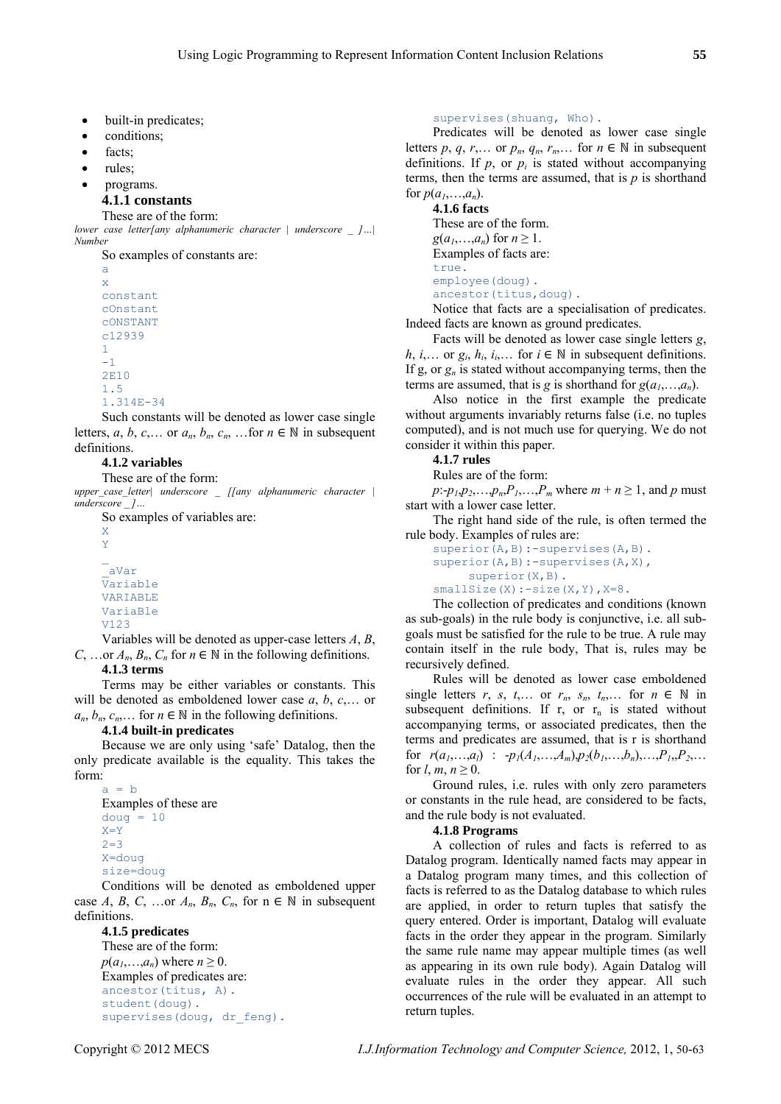- built-in predicates;
- conditions;
- facts:
- rules;
- programs.

#### **4.1.1 constants**

#### These are of the form:

*lower case letter[any alphanumeric character | underscore \_ ]…| Number* 

So examples of constants are: a x constant cOnstant cONSTANT c12939 1  $-1$ 2E10 1.5 1.314E-34

Such constants will be denoted as lower case single letters, *a*, *b*, *c*,... or  $a_n$ ,  $b_n$ ,  $c_n$ , ... for  $n \in \mathbb{N}$  in subsequent definitions.

#### **4.1.2 variables**

These are of the form:

*upper\_case\_letter| underscore \_ [[any alphanumeric character | underscore \_ ]…* 

So examples of variables are:

X Y

\_aVar Variable VARIABLE VariaBle V123

Variables will be denoted as upper-case letters *A*, *B*, *C*, ... or  $A_n$ ,  $B_n$ ,  $C_n$  for  $n \in \mathbb{N}$  in the following definitions.

#### **4.1.3 terms**

Terms may be either variables or constants. This will be denoted as emboldened lower case *a*, *b*, *c*,… or  $a_n, b_n, c_n, \ldots$  for  $n \in \mathbb{N}$  in the following definitions.

#### **4.1.4 built-in predicates**

Because we are only using 'safe' Datalog, then the only predicate available is the equality. This takes the form:

```
a = bExamples of these are 
douq = 10X=Y 
2=3X=doug 
size=doug
```
Conditions will be denoted as emboldened upper case *A*, *B*, *C*, ...or  $A_n$ ,  $B_n$ ,  $C_n$ , for  $n \in \mathbb{N}$  in subsequent definitions.

```
4.1.5 predicates 
These are of the form:
```
 $p(a_1,...,a_n)$  where  $n \geq 0$ . Examples of predicates are: ancestor(titus, A). student(doug). supervises(doug, dr feng). supervises(shuang, Who).

Predicates will be denoted as lower case single letters *p*, *q*, *r*,... or  $p_n$ ,  $q_n$ ,  $r_n$ ,... for  $n \in \mathbb{N}$  in subsequent definitions. If  $p$ , or  $p_i$  is stated without accompanying terms, then the terms are assumed, that is  $p$  is shorthand for  $p(a_1,...,a_n)$ .

**4.1.6 facts**  These are of the form.  $g(a_1,...,a_n)$  for  $n \geq 1$ . Examples of facts are: true. employee(doug). ancestor(titus, doug).

Notice that facts are a specialisation of predicates. Indeed facts are known as ground predicates.

Facts will be denoted as lower case single letters *g*, *h*, *i*,... or  $g_i$ ,  $h_i$ ,  $i_i$ ,... for  $i \in \mathbb{N}$  in subsequent definitions. If g, or  $g_n$  is stated without accompanying terms, then the terms are assumed, that is *g* is shorthand for  $g(a_1,...,a_n)$ .

Also notice in the first example the predicate without arguments invariably returns false (i.e. no tuples computed), and is not much use for querying. We do not consider it within this paper.

**4.1.7 rules** 

Rules are of the form:

 $p: -p_1, p_2, \ldots, p_n, P_1, \ldots, P_m$  where  $m + n \ge 1$ , and p must start with a lower case letter.

The right hand side of the rule, is often termed the rule body. Examples of rules are:

```
superior(A,B):-supervises(A,B).
superior(A,B):-supervises(A,X),
      superior(X,B). 
smallSize(X):-size(X,Y), X=8.
```
The collection of predicates and conditions (known as sub-goals) in the rule body is conjunctive, i.e. all subgoals must be satisfied for the rule to be true. A rule may contain itself in the rule body, That is, rules may be recursively defined.

Rules will be denoted as lower case emboldened single letters *r*, *s*, *t*,... or  $r_n$ ,  $s_n$ ,  $t_n$ ,... for  $n \in \mathbb{N}$  in subsequent definitions. If  $r$ , or  $r_n$  is stated without accompanying terms, or associated predicates, then the terms and predicates are assumed, that is r is shorthand for  $r(a_1,...,a_l)$  :  $-p_1(A_1,...,A_m), p_2(b_1,...,b_n),...,P_1,P_2,...$ for  $l, m, n \geq 0$ .

Ground rules, i.e. rules with only zero parameters or constants in the rule head, are considered to be facts, and the rule body is not evaluated.

#### **4.1.8 Programs**

A collection of rules and facts is referred to as Datalog program. Identically named facts may appear in a Datalog program many times, and this collection of facts is referred to as the Datalog database to which rules are applied, in order to return tuples that satisfy the query entered. Order is important, Datalog will evaluate facts in the order they appear in the program. Similarly the same rule name may appear multiple times (as well as appearing in its own rule body). Again Datalog will evaluate rules in the order they appear. All such occurrences of the rule will be evaluated in an attempt to return tuples.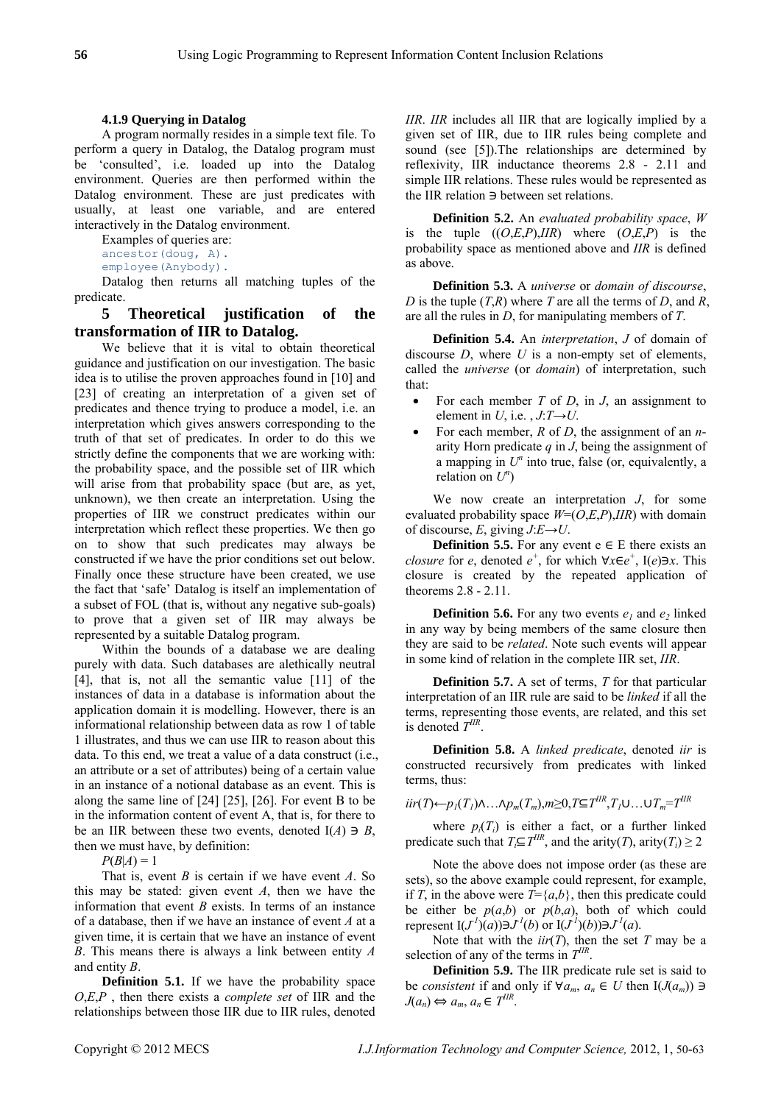#### **4.1.9 Querying in Datalog**

A program normally resides in a simple text file. To perform a query in Datalog, the Datalog program must be 'consulted', i.e. loaded up into the Datalog environment. Queries are then performed within the Datalog environment. These are just predicates with usually, at least one variable, and are entered interactively in the Datalog environment.

Examples of queries are:

ancestor(doug, A).

employee(Anybody).

Datalog then returns all matching tuples of the predicate.

# **5 Theoretical justification of the transformation of IIR to Datalog.**

We believe that it is vital to obtain theoretical guidance and justification on our investigation. The basic idea is to utilise the proven approaches found in [10] and [23] of creating an interpretation of a given set of predicates and thence trying to produce a model, i.e. an interpretation which gives answers corresponding to the truth of that set of predicates. In order to do this we strictly define the components that we are working with: the probability space, and the possible set of IIR which will arise from that probability space (but are, as yet, unknown), we then create an interpretation. Using the properties of IIR we construct predicates within our interpretation which reflect these properties. We then go on to show that such predicates may always be constructed if we have the prior conditions set out below. Finally once these structure have been created, we use the fact that 'safe' Datalog is itself an implementation of a subset of FOL (that is, without any negative sub-goals) to prove that a given set of IIR may always be represented by a suitable Datalog program.

Within the bounds of a database we are dealing purely with data. Such databases are alethically neutral [4], that is, not all the semantic value [11] of the instances of data in a database is information about the application domain it is modelling. However, there is an informational relationship between data as row 1 of table 1 illustrates, and thus we can use IIR to reason about this data. To this end, we treat a value of a data construct (i.e., an attribute or a set of attributes) being of a certain value in an instance of a notional database as an event. This is along the same line of [24] [25], [26]. For event B to be in the information content of event A, that is, for there to be an IIR between these two events, denoted  $I(A) \ni B$ , then we must have, by definition:

 $P(B|A) = 1$ 

That is, event *B* is certain if we have event *A*. So this may be stated: given event *A*, then we have the information that event *B* exists. In terms of an instance of a database, then if we have an instance of event *A* at a given time, it is certain that we have an instance of event *B*. This means there is always a link between entity *A* and entity *B*.

**Definition 5.1.** If we have the probability space *O*,*E*,*P* , then there exists a *complete set* of IIR and the relationships between those IIR due to IIR rules, denoted

*IIR*. *IIR* includes all IIR that are logically implied by a given set of IIR, due to IIR rules being complete and sound (see [5]). The relationships are determined by reflexivity, IIR inductance theorems 2.8 - 2.11 and simple IIR relations. These rules would be represented as the IIR relation  $\exists$  between set relations.

**Definition 5.2.** An *evaluated probability space*, *W* is the tuple  $((O,E,P),IIR)$  where  $(O,E,P)$  is the probability space as mentioned above and *IIR* is defined as above.

**Definition 5.3.** A *universe* or *domain of discourse*, *D* is the tuple (*T*,*R*) where *T* are all the terms of *D*, and *R*, are all the rules in *D*, for manipulating members of *T*.

**Definition 5.4.** An *interpretation*, *J* of domain of discourse *D*, where *U* is a non-empty set of elements, called the *universe* (or *domain*) of interpretation, such that:

- For each member *T* of *D*, in *J*, an assignment to element in *U*, i.e.,  $J: T \rightarrow U$ .
- For each member, *R* of *D*, the assignment of an *n*arity Horn predicate *q* in *J*, being the assignment of a mapping in  $U<sup>n</sup>$  into true, false (or, equivalently, a relation on  $U^n$ )

We now create an interpretation *J*, for some evaluated probability space  $W=(O,E,P),IIR$ ) with domain of discourse, *E*, giving  $J: E \rightarrow U$ .

**Definition 5.5.** For any event  $e \in E$  there exists an *closure* for *e*, denoted  $e^+$ , for which  $\forall x \in e^+$ , I(*e*) $\exists x$ . This closure is created by the repeated application of theorems 2.8 - 2.11.

**Definition 5.6.** For any two events  $e_1$  and  $e_2$  linked in any way by being members of the same closure then they are said to be *related*. Note such events will appear in some kind of relation in the complete IIR set, *IIR*.

**Definition 5.7.** A set of terms, *T* for that particular interpretation of an IIR rule are said to be *linked* if all the terms, representing those events, are related, and this set is denoted *TIIR*.

**Definition 5.8.** A *linked predicate*, denoted *iir* is constructed recursively from predicates with linked terms, thus:

 $i$ *iir*(*T*) $\leftarrow$ *p<sub>1</sub>*(*T<sub>1</sub>*) $\Lambda$ ... $\Lambda p_m(T_m)$ ,*m*≥0,*T*⊆*T*<sup>*IIR*</sup>,*T<sub>1</sub>*∪...∪*T<sub>m</sub>*=*T*<sup>*IIR*</sup>

where  $p_i(T_i)$  is either a fact, or a further linked predicate such that  $T_i \subseteq T^{IIR}$ , and the arity(*T*), arity(*T<sub>i</sub>*) ≥ 2

Note the above does not impose order (as these are sets), so the above example could represent, for example, if *T*, in the above were  $T = \{a,b\}$ , then this predicate could be either be  $p(a,b)$  or  $p(b,a)$ , both of which could represent  $I(J<sup>1</sup>)(a) \ni J<sup>1</sup>(b)$  or  $I(J<sup>1</sup>)(b) \ni J<sup>1</sup>(a)$ .

Note that with the  $\text{iir}(T)$ , then the set *T* may be a selection of any of the terms in *TIIR*.

**Definition 5.9.** The IIR predicate rule set is said to be *consistent* if and only if  $\forall a_m, a_n \in U$  then  $I(J(a_m)) \ni I$  $J(a_n) \Leftrightarrow a_m, a_n \in T^{IIR}$ .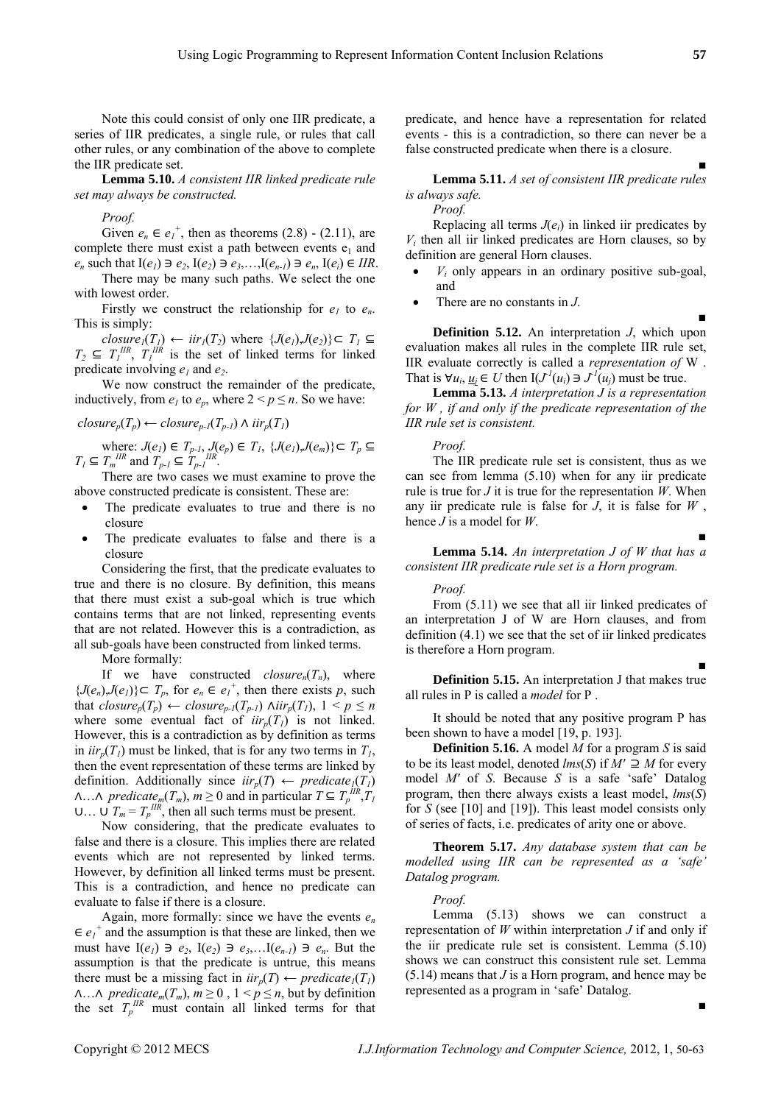Note this could consist of only one IIR predicate, a series of IIR predicates, a single rule, or rules that call other rules, or any combination of the above to complete the IIR predicate set.

**Lemma 5.10.** *A consistent IIR linked predicate rule set may always be constructed.*

*Proof.* 

Given  $e_n \in e_1^+$ , then as theorems (2.8) - (2.11), are complete there must exist a path between events  $e_1$  and *e<sub>n</sub>* such that  $I(e_1) \ni e_2$ ,  $I(e_2) \ni e_3$ , ...,  $I(e_{n-1}) \ni e_n$ ,  $I(e_i) \in IIR$ .

There may be many such paths. We select the one with lowest order.

Firstly we construct the relationship for  $e_1$  to  $e_n$ .<br>This is simply:

*closure*<sub>1</sub>(*T<sub>1</sub>*) ← *iir*<sub>1</sub>(*T*<sub>2</sub>) where {*J*(*e<sub>1</sub>*),*J*(*e*<sub>2</sub>)} $\subset T_1 \subseteq$  $T_2 \subseteq T_1^{\text{IIR}}$ ,  $T_1^{\text{IIR}}$  is the set of linked terms for linked predicate involving  $e_1$  and  $e_2$ .

We now construct the remainder of the predicate, inductively, from  $e_1$  to  $e_p$ , where  $2 \le p \le n$ . So we have:

 $closure_p(T_p) \leftarrow closure_{p-l}(T_{p-l}) \wedge ir_p(T_l)$ 

where:  $J(e_i) \in T_{p-l}$ ,  $J(e_p) \in T_l$ ,  $\{J(e_i), J(e_m)\} \subset T_p \subseteq$  $T_I \subseteq T_m$ <sup>*IIR*</sup> and  $T_{p-I} \subseteq T_{p-I}$ <sup>*IIR*</sup>.

There are two cases we must examine to prove the above constructed predicate is consistent. These are:

- The predicate evaluates to true and there is no closure
- The predicate evaluates to false and there is a closure

Considering the first, that the predicate evaluates to true and there is no closure. By definition, this means that there must exist a sub-goal which is true which contains terms that are not linked, representing events that are not related. However this is a contradiction, as all sub-goals have been constructed from linked terms.

More formally:

If we have constructed  $closure_n(T_n)$ , where  $\{J(e_n), J(e_l)\} \subset T_p$ , for  $e_n \in e_l^+$ , then there exists p, such that  $closure_p(T_p)$  ←  $closure_{p-l}(T_{p-l})$   $Air_p(T_l)$ ,  $1 < p \le n$ where some eventual fact of  $iir_n(T)$  is not linked. However, this is a contradiction as by definition as terms in  $\iota i r_n(T)$  must be linked, that is for any two terms in  $T_1$ , then the event representation of these terms are linked by definition. Additionally since  $iir_p(T) \leftarrow predicate_{\underline{I}}(T_I)$  $\Lambda$ ... $\Lambda$  *predicate<sub>m</sub>*( $T_m$ ),  $m \ge 0$  and in particular  $T \subseteq T_p^{\text{IIR}}, T_I$  $U \dots U T_m = T_p^{IIR}$ , then all such terms must be present.

Now considering, that the predicate evaluates to false and there is a closure. This implies there are related events which are not represented by linked terms. However, by definition all linked terms must be present. This is a contradiction, and hence no predicate can evaluate to false if there is a closure.

Again, more formally: since we have the events *en*  $\in e_1^+$  and the assumption is that these are linked, then we must have  $I(e_1) \ni e_2$ ,  $I(e_2) \ni e_3$ ,  $I(e_{n-1}) \ni e_n$ . But the assumption is that the predicate is untrue, this means there must be a missing fact in  $\iota i r_n(T) \leftarrow \iota' j$  $\Lambda$ ... $\Lambda$  *predicate<sub>m</sub>*( $T_m$ ),  $m \geq 0$ ,  $1 \leq p \leq n$ , but by definition the set  $T_p$ <sup>IIR</sup> must contain all linked terms for that predicate, and hence have a representation for related events - this is a contradiction, so there can never be a false constructed predicate when there is a closure.

**Lemma 5.11.** *A set of consistent IIR predicate rules is always safe.* 

#### *Proof.*

Replacing all terms  $J(e_i)$  in linked iir predicates by  $V_i$  then all iir linked predicates are Horn clauses, so by definition are general Horn clauses.

- $V_i$  only appears in an ordinary positive sub-goal, and
- There are no constants in *J*.

**Definition 5.12.** An interpretation *J*, which upon evaluation makes all rules in the complete IIR rule set, IIR evaluate correctly is called a *representation of* W . That is  $\forall u_i, \underline{u_i} \in U$  then  $I(J^l(u_i) \ni J^l(u_j))$  must be true.

**Lemma 5.13.** *A interpretation J is a representation for W , if and only if the predicate representation of the IIR rule set is consistent.* 

#### *Proof.*

The IIR predicate rule set is consistent, thus as we can see from lemma (5.10) when for any iir predicate rule is true for *J* it is true for the representation *W*. When any iir predicate rule is false for *J*, it is false for *W* , hence *J* is a model for *W*.

**Lemma 5.14.** *An interpretation J of W that has a consistent IIR predicate rule set is a Horn program.* 

#### *Proof.*

From (5.11) we see that all iir linked predicates of an interpretation J of W are Horn clauses, and from definition (4.1) we see that the set of iir linked predicates is therefore a Horn program.

**Definition 5.15.** An interpretation J that makes true all rules in P is called a *model* for P .

It should be noted that any positive program P has been shown to have a model [19, p. 193].

**Definition 5.16.** A model *M* for a program *S* is said to be its least model, denoted  $lms(S)$  if  $M' \supseteq M$  for every model *M′* of *S*. Because *S* is a safe 'safe' Datalog program, then there always exists a least model, *lms*(*S*) for *S* (see [10] and [19]). This least model consists only of series of facts, i.e. predicates of arity one or above.

**Theorem 5.17.** *Any database system that can be modelled using IIR can be represented as a 'safe' Datalog program.* 

# *Proof.*

Lemma (5.13) shows we can construct a representation of *W* within interpretation *J* if and only if the iir predicate rule set is consistent. Lemma (5.10) shows we can construct this consistent rule set. Lemma (5.14) means that *J* is a Horn program, and hence may be represented as a program in 'safe' Datalog.

■

■

■

■

■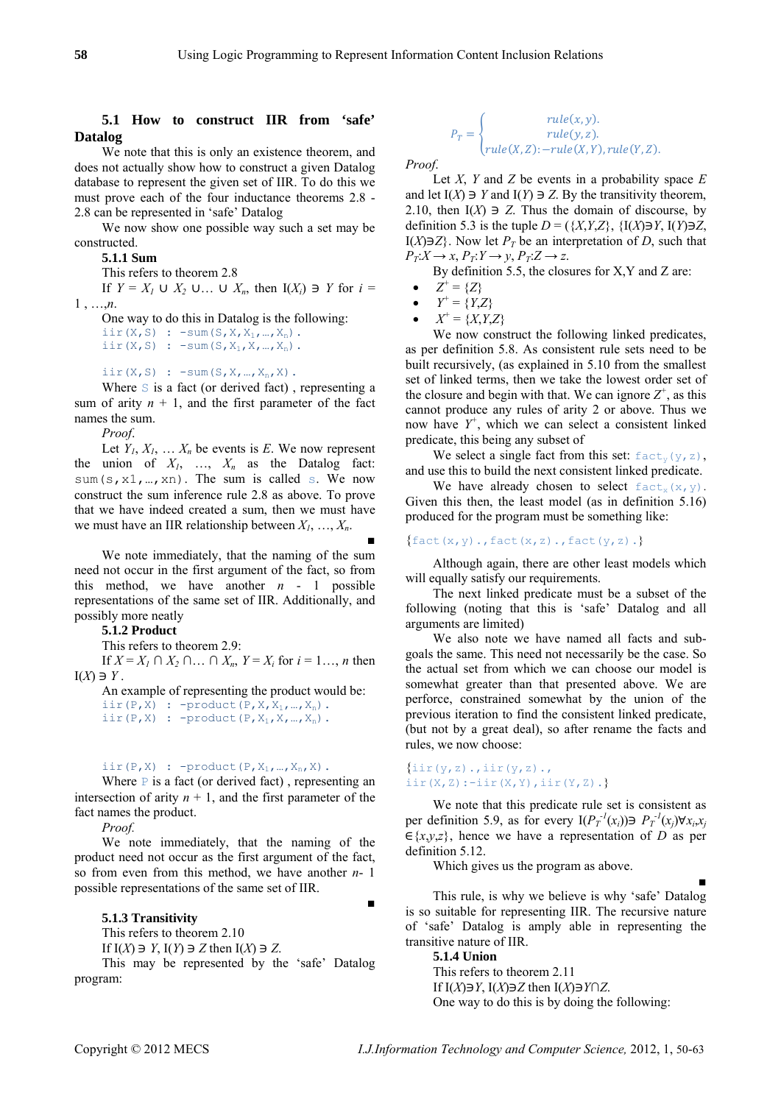## **5.1 How to construct IIR from 'safe' Datalog**

We note that this is only an existence theorem, and does not actually show how to construct a given Datalog database to represent the given set of IIR. To do this we must prove each of the four inductance theorems 2.8 - 2.8 can be represented in 'safe' Datalog

We now show one possible way such a set may be constructed.

**5.1.1 Sum** 

This refers to theorem 2.8

If  $Y = X_1 \cup X_2 \cup \ldots \cup X_n$ , then  $I(X_i) \ni Y$  for  $i =$ 1 , …,*n*.

One way to do this in Datalog is the following: iir(X,S) :  $-\text{sum}(S,X,X_1,...,X_n)$ . iir(X,S) :  $-\text{sum}(S, X_1, X, ..., X_n)$ .

iir $(X, S)$  :  $-\text{sum}(S, X, ..., X_n, X)$ .

Where  $S$  is a fact (or derived fact), representing a sum of arity  $n + 1$ , and the first parameter of the fact names the sum.

*Proof*.

Let  $Y_1, X_1, \ldots, X_n$  be events is  $E$ . We now represent the union of  $X_1$ , ...,  $X_n$  as the Datalog fact: sum(s, x1, ..., xn). The sum is called s. We now construct the sum inference rule 2.8 as above. To prove that we have indeed created a sum, then we must have we must have an IIR relationship between *X1*, …, *Xn*.

We note immediately, that the naming of the sum need not occur in the first argument of the fact, so from this method, we have another  $n - 1$  possible representations of the same set of IIR. Additionally, and possibly more neatly

T his refers to theorem 2.9:

If *X* = *X<sub>1</sub>* ∩ *X<sub>2</sub>* ∩ … ∩ *X<sub>n</sub>*, *Y* = *X<sub>i</sub>* for *i* = 1…, *n* then  $I(X) \ni Y$ .

An example of representing the product would be: iir(P,X) :  $-\text{product}(P,X,X_1,...,X_n)$ . iir(P,X) : -product(P,X<sub>1</sub>,X,..,X<sub>n</sub>).

# iir(P,X) : -product(P,X<sub>1</sub>, ...,X<sub>n</sub>,X).  $\{$ iir(y,z).,iir(y,z).,

Where  $P$  is a fact (or derived fact), representing an intersection of arity  $n + 1$ , and the first parameter of the fact names the product.

*Proof.* 

We note immediately, that the naming of the product need not occur as the first argument of the fact, so from even from this method, we have another *n*- 1 possible representations of the same set of IIR.

#### **5.1.3 Transitivity**

This refers to theorem 2.10 If  $I(X) \ni Y$ ,  $I(Y) \ni Z$  then  $I(X) \ni Z$ . **5.1.4 Union**<br>This may be represented by the 'safe' Datalog  $\overline{5.1.4}$  Union

program:

$$
P_T = \begin{cases} rule(x, y). \\ rule(y, z). \\ rule(X, Z): - rule(X, Y), rule(Y, Z). \end{cases}
$$

*Proof*.

Let *X*, *Y* and *Z* be events in a probability space *E* and let  $I(X) \ni Y$  and  $I(Y) \ni Z$ . By the transitivity theorem, 2.10, then  $I(X) \ni Z$ . Thus the domain of discourse, by definition 5.3 is the tuple  $D = (\{X, Y, Z\}, \{I(X) \}\text{ or } I(Y) \text{ or } Z$ , I(*X*) $\exists$ *Z*}. Now let *P<sub>T</sub>* be an interpretation of *D*, such that  $P_T: X \to X$ ,  $P_T: Y \to Y$ ,  $P_T: Z \to Z$ .

By definition 5.5, the closures for X,Y and Z are:

- $Z^+ = \{Z\}$
- $Y^+ = \{Y, Z\}$
- $X^+ = \{X, Y, Z\}$

We now construct the following linked predicates, as per definition 5.8. As consistent rule sets need to be built recursively, (as explained in 5.10 from the smallest set of linked terms, then we take the lowest order set of the closure and begin with that. We can ignore  $Z^+$ , as this cannot produce any rules of arity 2 or above. Thus we now have *Y<sup>+</sup>* , which we can select a consistent linked predicate, this being any subset of

We select a single fact from this set:  $fact_v(y,z)$ , and use this to build the next consistent linked predicate.

We have already chosen to select  $f \text{act}_x(x, y)$ . Given this then, the least model (as in definition 5.16) produced for the program must be something like:

# $\{$ fact(x,y).,fact(x,z).,fact(y,z).}

Although again, there are other least models which will equally satisfy our requirements.

The next linked predicate must be a subset of the following (noting that this is 'safe' Datalog and all arguments are limited)<br> **5.1.2 Product 5.1.2 Product 5.1.2 Product We also note we have named all facts and sub-**<br>
We also note we have named all facts and sub-

goals the same. This need not necessarily be the case. So the actual set from which we can choose our model is somewhat greater than that presented above. We are perforce, constrained somewhat by the union of the previous iteration to find the consistent linked predicate, (but not by a great deal), so after rename the facts and rules, we now choose:

# iir $(X, Z)$ :-iir $(X, Y)$ , iir $(Y, Z)$ .}

We note that this predicate rule set is consistent as per definition 5.9, as for every  $I(P_T^{-1}(x_i)) \ni P_T^{-1}(x_j) \forall x_i, x_j$  $\in \{x,y,z\}$ , hence we have a representation of *D* as per definition 5.12.

Which gives us the program as above.

■ This rule, is why we believe is why 'safe' Datalog is so suitable for representing IIR. The recursive nature of 'safe' Datalog is amply able in representing the transitive nature of IIR.

■

This refers to theorem 2.11 If  $I(X) \ni Y$ ,  $I(X) \ni Z$  then  $I(X) \ni Y \cap Z$ . One way to do this is by doing the following: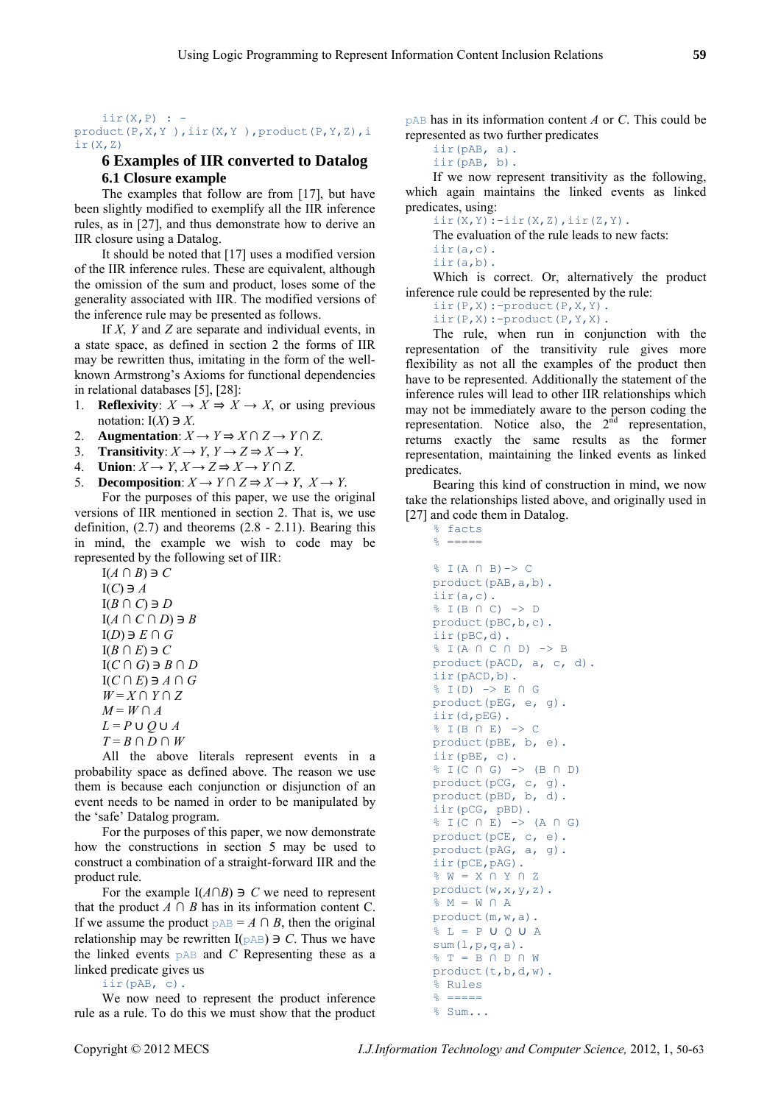#### $\text{iir}(X, P)$  : product(P,X,Y ),iir(X,Y ),product(P,Y,Z),i  $ir(X,Z)$

# **6 Examples of IIR converted to Datalog 6.1 Closure example**

The examples that follow are from [17], but have been slightly modified to exemplify all the IIR inference rules, as in [27], and thus demonstrate how to derive an IIR closure using a Datalog.

It should be noted that [17] uses a modified version of the IIR inference rules. These are equivalent, although the omission of the sum and product, loses some of the generality associated with IIR. The modified versions of the inference rule may be presented as follows.

If *X*, *Y* and *Z* are separate and individual events, in a state space, as defined in section 2 the forms of IIR may be rewritten thus, imitating in the form of the wellknown Armstrong's Axioms for functional dependencies in relational databases  $[5]$ ,  $[28]$ :

- 1. **Reflexivity**:  $X \to X \Rightarrow X \to X$ , or using previous notation:  $I(X) \ni X$ .
- 2. **Augmentation**:  $X \to Y \Rightarrow X \cap Z \to Y \cap Z$ .
- 3. **Transitivity**:  $X \to Y$ ,  $Y \to Z \Rightarrow X \to Y$ .
- 4. **Union**:  $X \to Y$ ,  $X \to Z \Rightarrow X \to Y \cap Z$ .
- 5. **Decomposition**:  $X \to Y \cap Z \Rightarrow X \to Y$ ,  $X \to Y$ .

For the purposes of this paper, we use the original versions of IIR mentioned in section 2. That is, we use definition, (2.7) and theorems (2.8 - 2.11). Bearing this in mind, the example we wish to code may be represented by the following set of IIR:

 $I(A \cap B) \ni C$  $I(C) \ni A$  $I(B \cap C) \ni D$  $I(A \cap C \cap D) \ni B$  $I(D) \ni E \cap G$  $I(B \cap E) \ni C$ ד I(*C* ∩ *G*) *B* ∩ *D*  $I(C \cap E) \ni A \cap G$ *W* = *X* ∩ *Y* ∩ *Z*  $M = W \cap A$  $L = P \cup Q \cup A$  $T = B \cap D \cap W$ 

All the above literals represent events in a probability space as defined above. The reason we use them is because each conjunction or disjunction of an event needs to be named in order to be manipulated by the 'safe' Datalog program.

For the purposes of this paper, we now demonstrate how the constructions in section 5 may be used to construct a combination of a straight-forward IIR and the product rule.

For the example  $I(A \cap B) \ni C$  we need to represent that the product  $A \cap B$  has in its information content C. If we assume the product  $pAB = A \cap B$ , then the original relationship may be rewritten  $I(pAB) \ni C$ . Thus we have the linked events pAB and *C* Representing these as a linked predicate gives us

iir(pAB, c).

We now need to represent the product inference rule as a rule. To do this we must show that the product

pAB has in its information content *A* or *C*. This could be represented as two further predicates

iir(pAB, a). iir(pAB, b).

If we now represent transitivity as the following, which again maintains the linked events as linked predicates, using:

 $\text{iir}(X,Y)$ :-iir $(X,Z)$ , iir $(Z,Y)$ .

The evaluation of the rule leads to new facts:

```
iir(a,c).
```
% facts

iir(a,b). Which is correct. Or, alternatively the product inference rule could be represented by the rule:

 $iir(P,X):$ -product $(P,X,Y)$ .

 $iir(P,X):=product(P,Y,X)$ .

The rule, when run in conjunction with the representation of the transitivity rule gives more flexibility as not all the examples of the product then have to be represented. Additionally the statement of the inference rules will lead to other IIR relationships which may not be immediately aware to the person coding the representation. Notice also, the  $2<sup>nd</sup>$  representation, returns exactly the same results as the former representation, maintaining the linked events as linked predicates.

Bearing this kind of construction in mind, we now take the relationships listed above, and originally used in [27] and code them in Datalog.

```
\frac{6}{6} =====
% I(A ∩ B)-> C 
product(pAB,a,b). 
iir(a,c). 
% I(B ∩ C) -> D 
product(pBC,b,c). 
iir(pBC,d). 
% I(A ∩ C ∩ D) -> B 
product(pACD, a, c, d). 
iir(pACD,b). 
\frac{1}{6} I(D) -> E \cap G
product(pEG, e, g). 
iir(d,pEG). 
% I(B ∩ E) -> C 
product(pBE, b, e). 
iir(pBE, c). 
% I(C ∩ G) -> (B ∩ D) 
product(pCG, c, g). 
product(pBD, b, d). 
iir(pCG, pBD). 
% I(C ∩ E) -> (A ∩ G) 
product(pCE, c, e). 
product(pAG, a, g). 
iir(pCE,pAG). 
% W = X ∩ Y ∩ Z 
product(w,x,y,z). 
\frac{1}{6} M = W \cap A
\& L = P U O U Aproduct(m,w,a). 
sum(1,p,q,a).
% T = B ∩ D ∩ W 
product(t,b,d,w). 
% Rules 
% ===== 
% Sum...
```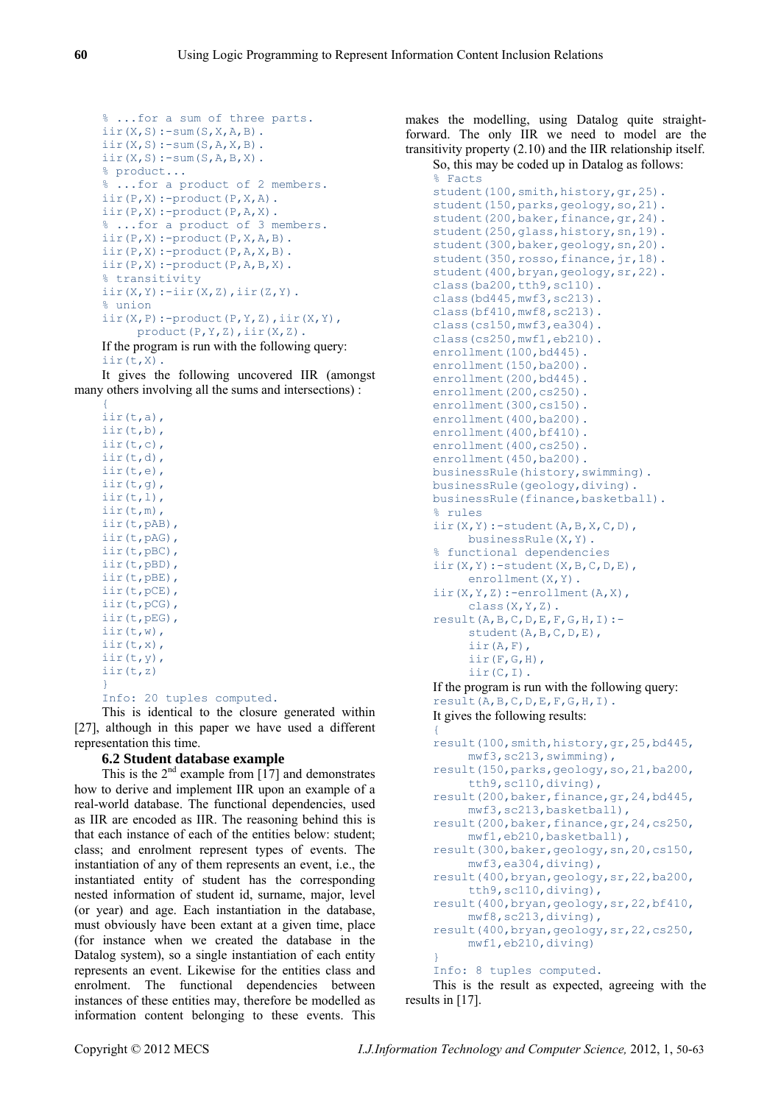```
% ...for a sum of three parts. 
iir(X, S): -sum(S, X, A, B).
\text{iir}(X, S):-\text{sum}(S, A, X, B).
\text{iir}(X, S) : -\text{sum}(S, A, B, X).
% product... 
% ...for a product of 2 members. 
iir(P,X):=product(P,X,A).
\text{iir}(P,X):-product(P,A,X).
% ...for a product of 3 members. 
\text{iir}(P,X):-product(P,X,A,B).
iir(P,X):-product(P,A,X,B). 
iir(P,X):-product(P,A,B,X).
% transitivity 
\text{iir}(X,Y):=\text{iir}(X,Z),\text{iir}(Z,Y).% union 
\text{iir}(X, P):-product(P, Y, Z), \text{iir}(X, Y),
       product(P,Y,Z),iir(X,Z).
```
If the program is run with the following query: iir(t,X).

It gives the following uncovered IIR (amongst many others involving all the sums and intersections) :

```
{ 
\text{ir}(t,a),
iir(t,b), 
iir(t,c), 
iir(t,d), 
iir(t,e), 
iir(t,g), 
\text{ir}(t,1),
iir(t,m), 
iir(t,pAB), 
iir(t,pAG), 
iir(t,pBC), 
iir(t,pBD), 
iir(t,pBE), 
iir(t,pCE), 
iir(t,pCG), 
iir(t,pEG), 
iir(t,w), 
iir(t,x), 
iir(t,y), 
iir(t,z) 
}
```
Info: 20 tuples computed.

This is identical to the closure generated within [27], although in this paper we have used a different representation this time.

## **6.2 Student database example**

This is the  $2<sup>nd</sup>$  example from [17] and demonstrates how to derive and implement IIR upon an example of a real-world database. The functional dependencies, used as IIR are encoded as IIR. The reasoning behind this is that each instance of each of the entities below: student; class; and enrolment represent types of events. The instantiation of any of them represents an event, i.e., the instantiated entity of student has the corresponding nested information of student id, surname, major, level (or year) and age. Each instantiation in the database, must obviously have been extant at a given time, place (for instance when we created the database in the Datalog system), so a single instantiation of each entity represents an event. Likewise for the entities class and enrolment. The functional dependencies between instances of these entities may, therefore be modelled as information content belonging to these events. This

makes the modelling, using Datalog quite straightforward. The only IIR we need to model are the transitivity property (2.10) and the IIR relationship itself.

So, this may be coded up in Datalog as follows: % Facts

```
student(100, smith, history, gr, 25).
student(150, parks, geology, so, 21).
student(200,baker,finance, gr, 24).
student(250, qlass, history, sn, 19).
student(300,baker,geology,sn,20). 
student(350, rosso, finance, jr, 18).
student(400,bryan,geology,sr,22). 
class(ba200,tth9,sc110).
class(bd445,mwf3,sc213). 
class(bf410, mwf8, sc213).
class(cs150,mwf3,ea304). 
class(cs250, mwf1, eb210).
enrollment(100,bd445).
enrollment(150,ba200).
enrollment(200,bd445).
enrollment(200,cs250).
enrollment(300,cs150).
enrollment(400,ba200).
enrollment(400,bf410).
enrollment(400,cs250).
enrollment(450,ba200).
businessRule(history,swimming). 
businessRule(geology,diving). 
businessRule(finance,basketball). 
% rules 
iir(X,Y):-student(A,B,X,C,D), 
      businessRule(X,Y). 
% functional dependencies 
\text{iir}(X,Y):-\text{student}(X,B,C,D,E),
     enrollment(X,Y).
\text{iir}(X,Y,Z):=\text{enrollment}(A,X), class(X,Y,Z). 
result(A,B,C,D,E,F,G,H,I):- 
      student(A,B,C,D,E), 
       iir(A,F), 
      iir(F,G,H), 
       iir(C,I). 
If the program is run with the following query: 
result(A, B, C, D, E, F, G, H, I).
It gives the following results: 
{
```

```
result(100,smith,history,gr,25,bd445, 
      mwf3,sc213,swimming), 
result(150,parks,geology,so,21,ba200, 
      tth9,sc110,diving), 
result(200,baker,finance,gr,24,bd445,
      mwf3,sc213,basketball), 
result(200,baker,finance,gr,24,cs250,
     mwf1,eb210,basketball), 
result(300,baker,geology,sn,20,cs150, 
     mwf3,ea304,diving), 
result(400,bryan,geology,sr,22,ba200, 
      tth9,sc110,diving), 
result(400,bryan,geology,sr,22,bf410, 
     mwf8,sc213,diving), 
result(400,bryan,geology,sr,22,cs250, 
     mwf1,eb210,diving) 
} 
Info: 8 tuples computed.
```
This is the result as expected, agreeing with the results in [17].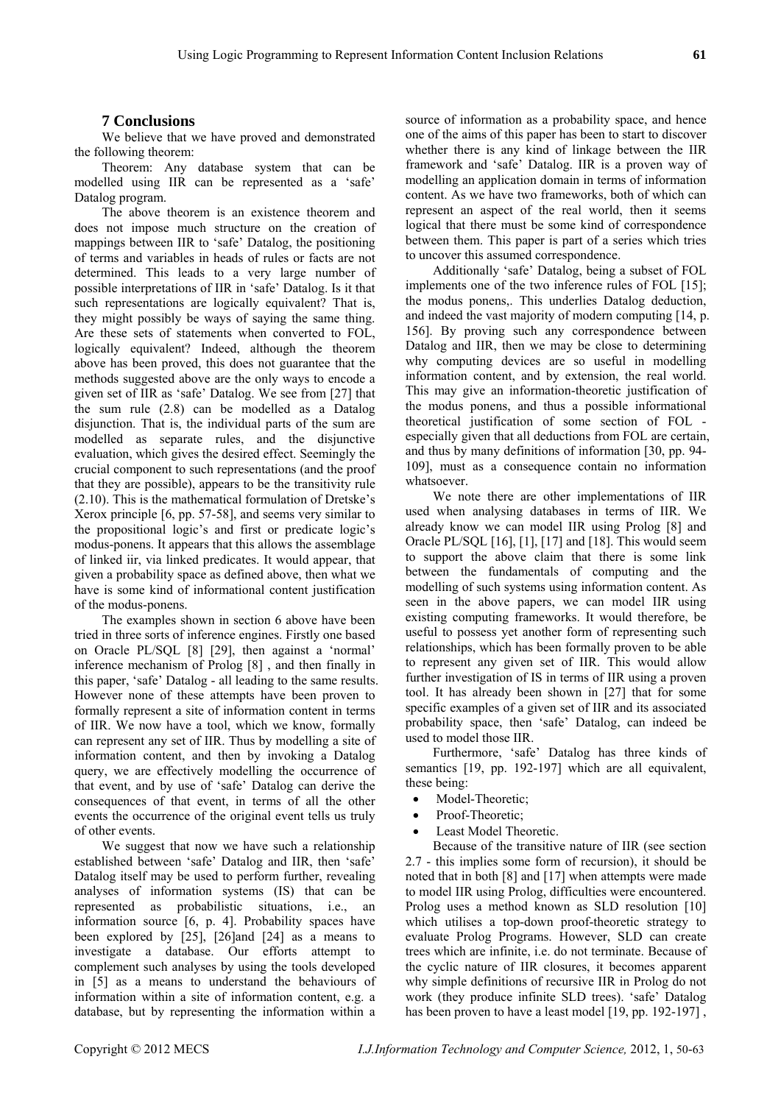# **7 Conclusions**

We believe that we have proved and demonstrated the following theorem:

Theorem: Any database system that can be modelled using IIR can be represented as a 'safe' Datalog program.

The above theorem is an existence theorem and does not impose much structure on the creation of mappings between IIR to 'safe' Datalog, the positioning of terms and variables in heads of rules or facts are not determined. This leads to a very large number of possible interpretations of IIR in 'safe' Datalog. Is it that such representations are logically equivalent? That is, they might possibly be ways of saying the same thing. Are these sets of statements when converted to FOL, logically equivalent? Indeed, although the theorem above has been proved, this does not guarantee that the methods suggested above are the only ways to encode a given set of IIR as 'safe' Datalog. We see from [27] that the sum rule (2.8) can be modelled as a Datalog disjunction. That is, the individual parts of the sum are modelled as separate rules, and the disjunctive evaluation, which gives the desired effect. Seemingly the crucial component to such representations (and the proof that they are possible), appears to be the transitivity rule (2.10). This is the mathematical formulation of Dretske's Xerox principle [6, pp. 57-58], and seems very similar to the propositional logic's and first or predicate logic's modus-ponens. It appears that this allows the assemblage of linked iir, via linked predicates. It would appear, that given a probability space as defined above, then what we have is some kind of informational content justification of the modus-ponens.

The examples shown in section 6 above have been tried in three sorts of inference engines. Firstly one based on Oracle PL/SQL [8] [29], then against a 'normal' inference mechanism of Prolog [8] , and then finally in this paper, 'safe' Datalog - all leading to the same results. However none of these attempts have been proven to formally represent a site of information content in terms of IIR. We now have a tool, which we know, formally can represent any set of IIR. Thus by modelling a site of information content, and then by invoking a Datalog query, we are effectively modelling the occurrence of that event, and by use of 'safe' Datalog can derive the consequences of that event, in terms of all the other events the occurrence of the original event tells us truly of other events.

We suggest that now we have such a relationship established between 'safe' Datalog and IIR, then 'safe' Datalog itself may be used to perform further, revealing analyses of information systems (IS) that can be represented as probabilistic situations, i.e., an information source [6, p. 4]. Probability spaces have been explored by [25], [26]and [24] as a means to investigate a database. Our efforts attempt to complement such analyses by using the tools developed in [5] as a means to understand the behaviours of information within a site of information content, e.g. a database, but by representing the information within a

source of information as a probability space, and hence one of the aims of this paper has been to start to discover whether there is any kind of linkage between the IIR framework and 'safe' Datalog. IIR is a proven way of modelling an application domain in terms of information content. As we have two frameworks, both of which can represent an aspect of the real world, then it seems logical that there must be some kind of correspondence between them. This paper is part of a series which tries to uncover this assumed correspondence.

Additionally 'safe' Datalog, being a subset of FOL implements one of the two inference rules of FOL [15]; the modus ponens,. This underlies Datalog deduction, and indeed the vast majority of modern computing [14, p. 156]. By proving such any correspondence between Datalog and IIR, then we may be close to determining why computing devices are so useful in modelling information content, and by extension, the real world. This may give an information-theoretic justification of the modus ponens, and thus a possible informational theoretical justification of some section of FOL especially given that all deductions from FOL are certain, and thus by many definitions of information [30, pp. 94- 109], must as a consequence contain no information whatsoever.

We note there are other implementations of IIR used when analysing databases in terms of IIR. We already know we can model IIR using Prolog [8] and Oracle PL/SQL [16], [1], [17] and [18]. This would seem to support the above claim that there is some link between the fundamentals of computing and the modelling of such systems using information content. As seen in the above papers, we can model IIR using existing computing frameworks. It would therefore, be useful to possess yet another form of representing such relationships, which has been formally proven to be able to represent any given set of IIR. This would allow further investigation of IS in terms of IIR using a proven tool. It has already been shown in [27] that for some specific examples of a given set of IIR and its associated probability space, then 'safe' Datalog, can indeed be used to model those IIR.

Furthermore, 'safe' Datalog has three kinds of semantics [19, pp. 192-197] which are all equivalent, these being:

- Model-Theoretic:
- Proof-Theoretic:
- Least Model Theoretic.

Because of the transitive nature of IIR (see section 2.7 - this implies some form of recursion), it should be noted that in both [8] and [17] when attempts were made to model IIR using Prolog, difficulties were encountered. Prolog uses a method known as SLD resolution [10] which utilises a top-down proof-theoretic strategy to evaluate Prolog Programs. However, SLD can create trees which are infinite, i.e. do not terminate. Because of the cyclic nature of IIR closures, it becomes apparent why simple definitions of recursive IIR in Prolog do not work (they produce infinite SLD trees). 'safe' Datalog has been proven to have a least model [19, pp. 192-197],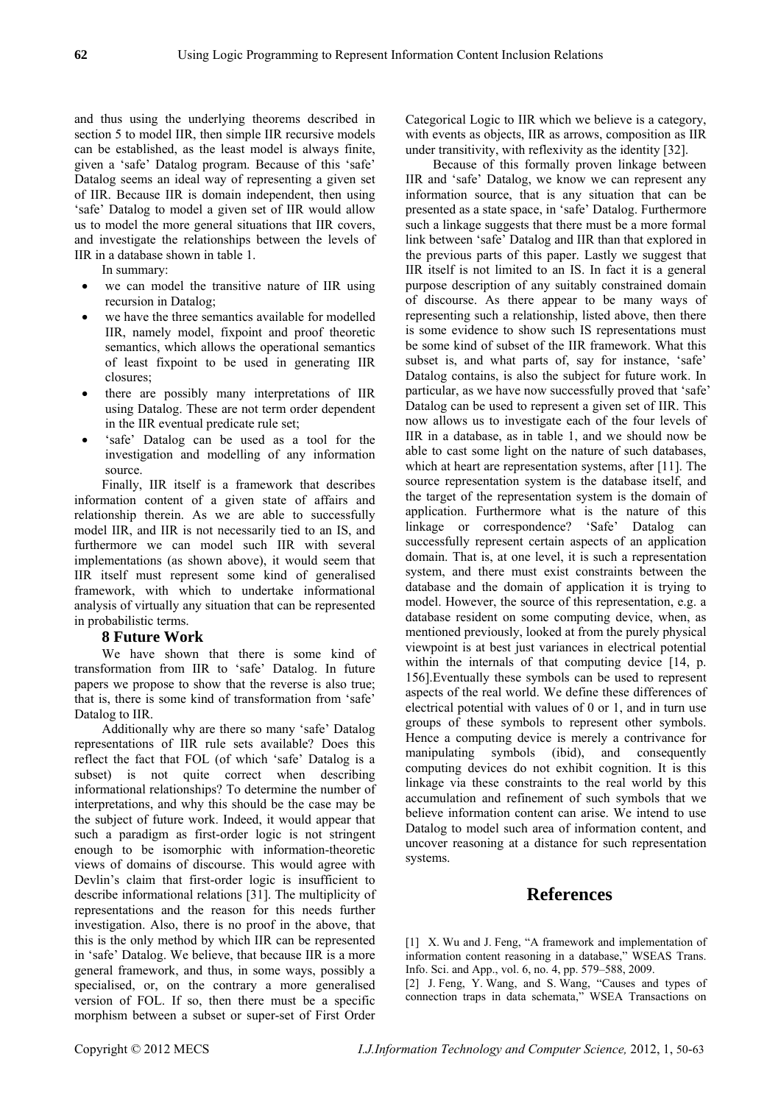and thus using the underlying theorems described in section 5 to model IIR, then simple IIR recursive models can be established, as the least model is always finite, given a 'safe' Datalog program. Because of this 'safe' Datalog seems an ideal way of representing a given set of IIR. Because IIR is domain independent, then using 'safe' Datalog to model a given set of IIR would allow us to model the more general situations that IIR covers, and investigate the relationships between the levels of IIR in a database shown in table 1.

In summary:

- we can model the transitive nature of IIR using recursion in Datalog;
- we have the three semantics available for modelled IIR, namely model, fixpoint and proof theoretic semantics, which allows the operational semantics of least fixpoint to be used in generating IIR closures;
- there are possibly many interpretations of IIR using Datalog. These are not term order dependent in the IIR eventual predicate rule set;
- 'safe' Datalog can be used as a tool for the investigation and modelling of any information source.

Finally, IIR itself is a framework that describes information content of a given state of affairs and relationship therein. As we are able to successfully model IIR, and IIR is not necessarily tied to an IS, and furthermore we can model such IIR with several implementations (as shown above), it would seem that IIR itself must represent some kind of generalised framework, with which to undertake informational analysis of virtually any situation that can be represented in probabilistic terms.

## **8 Future Work**

We have shown that there is some kind of transformation from IIR to 'safe' Datalog. In future papers we propose to show that the reverse is also true; that is, there is some kind of transformation from 'safe' Datalog to IIR.

Additionally why are there so many 'safe' Datalog representations of IIR rule sets available? Does this reflect the fact that FOL (of which 'safe' Datalog is a subset) is not quite correct when describing informational relationships? To determine the number of interpretations, and why this should be the case may be the subject of future work. Indeed, it would appear that such a paradigm as first-order logic is not stringent enough to be isomorphic with information-theoretic views of domains of discourse. This would agree with Devlin's claim that first-order logic is insufficient to describe informational relations [31]. The multiplicity of representations and the reason for this needs further investigation. Also, there is no proof in the above, that this is the only method by which IIR can be represented in 'safe' Datalog. We believe, that because IIR is a more general framework, and thus, in some ways, possibly a specialised, or, on the contrary a more generalised version of FOL. If so, then there must be a specific morphism between a subset or super-set of First Order Categorical Logic to IIR which we believe is a category, with events as objects, IIR as arrows, composition as IIR under transitivity, with reflexivity as the identity [32].

Because of this formally proven linkage between IIR and 'safe' Datalog, we know we can represent any information source, that is any situation that can be presented as a state space, in 'safe' Datalog. Furthermore such a linkage suggests that there must be a more formal link between 'safe' Datalog and IIR than that explored in the previous parts of this paper. Lastly we suggest that IIR itself is not limited to an IS. In fact it is a general purpose description of any suitably constrained domain of discourse. As there appear to be many ways of representing such a relationship, listed above, then there is some evidence to show such IS representations must be some kind of subset of the IIR framework. What this subset is, and what parts of, say for instance, 'safe' Datalog contains, is also the subject for future work. In particular, as we have now successfully proved that 'safe' Datalog can be used to represent a given set of IIR. This now allows us to investigate each of the four levels of IIR in a database, as in table 1, and we should now be able to cast some light on the nature of such databases, which at heart are representation systems, after [11]. The source representation system is the database itself, and the target of the representation system is the domain of application. Furthermore what is the nature of this linkage or correspondence? 'Safe' Datalog can successfully represent certain aspects of an application domain. That is, at one level, it is such a representation system, and there must exist constraints between the database and the domain of application it is trying to model. However, the source of this representation, e.g. a database resident on some computing device, when, as mentioned previously, looked at from the purely physical viewpoint is at best just variances in electrical potential within the internals of that computing device [14, p. 156].Eventually these symbols can be used to represent aspects of the real world. We define these differences of electrical potential with values of 0 or 1, and in turn use groups of these symbols to represent other symbols. Hence a computing device is merely a contrivance for manipulating symbols (ibid), and consequently computing devices do not exhibit cognition. It is this linkage via these constraints to the real world by this accumulation and refinement of such symbols that we believe information content can arise. We intend to use Datalog to model such area of information content, and uncover reasoning at a distance for such representation systems.

# **References**

[1] X. Wu and J. Feng, "A framework and implementation of information content reasoning in a database," WSEAS Trans. Info. Sci. and App., vol. 6, no. 4, pp. 579–588, 2009.

[2] J. Feng, Y. Wang, and S. Wang, "Causes and types of connection traps in data schemata," WSEA Transactions on